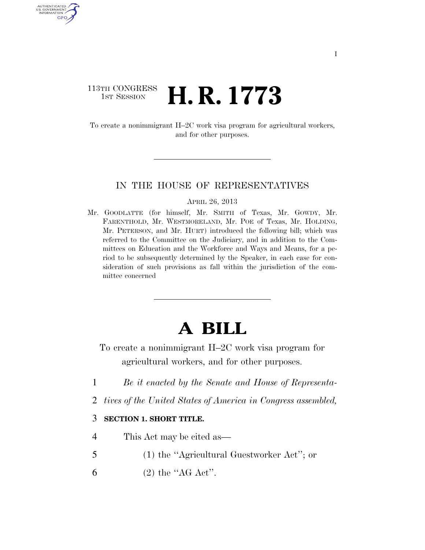### 113TH CONGRESS <sup>TH CONGRESS</sup>  $\,$  **H. R. 1773**

U.S. GOVERNMENT GPO

> To create a nonimmigrant H–2C work visa program for agricultural workers, and for other purposes.

#### IN THE HOUSE OF REPRESENTATIVES

APRIL 26, 2013

Mr. GOODLATTE (for himself, Mr. SMITH of Texas, Mr. GOWDY, Mr. FARENTHOLD, Mr. WESTMORELAND, Mr. POE of Texas, Mr. HOLDING, Mr. PETERSON, and Mr. HURT) introduced the following bill; which was referred to the Committee on the Judiciary, and in addition to the Committees on Education and the Workforce and Ways and Means, for a period to be subsequently determined by the Speaker, in each case for consideration of such provisions as fall within the jurisdiction of the committee concerned

# **A BILL**

To create a nonimmigrant H–2C work visa program for agricultural workers, and for other purposes.

- 1 *Be it enacted by the Senate and House of Representa-*
- 2 *tives of the United States of America in Congress assembled,*

### 3 **SECTION 1. SHORT TITLE.**

- 4 This Act may be cited as—
- 5 (1) the ''Agricultural Guestworker Act''; or
- 6 (2) the " $AG \text{ Act}$ ".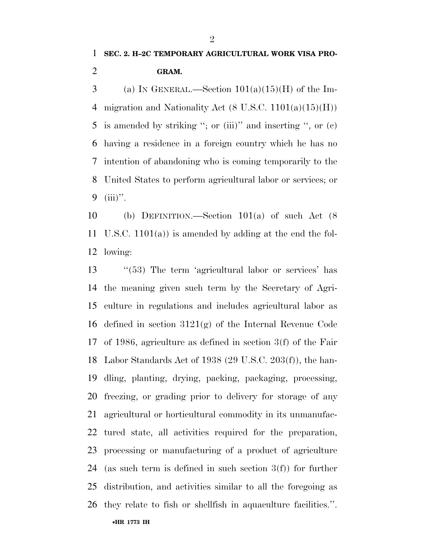3 (a) IN GENERAL.—Section  $101(a)(15)(H)$  of the Im-4 migration and Nationality Act  $(8 \text{ U.S.C. } 1101(a)(15)(H))$  is amended by striking ''; or (iii)'' and inserting '', or (c) having a residence in a foreign country which he has no intention of abandoning who is coming temporarily to the United States to perform agricultural labor or services; or (iii)''.

 (b) DEFINITION.—Section 101(a) of such Act (8 U.S.C. 1101(a)) is amended by adding at the end the fol-lowing:

13 "(53) The term 'agricultural labor or services' has the meaning given such term by the Secretary of Agri- culture in regulations and includes agricultural labor as defined in section 3121(g) of the Internal Revenue Code of 1986, agriculture as defined in section 3(f) of the Fair Labor Standards Act of 1938 (29 U.S.C. 203(f)), the han- dling, planting, drying, packing, packaging, processing, freezing, or grading prior to delivery for storage of any agricultural or horticultural commodity in its unmanufac- tured state, all activities required for the preparation, processing or manufacturing of a product of agriculture (as such term is defined in such section 3(f)) for further distribution, and activities similar to all the foregoing as they relate to fish or shellfish in aquaculture facilities.''.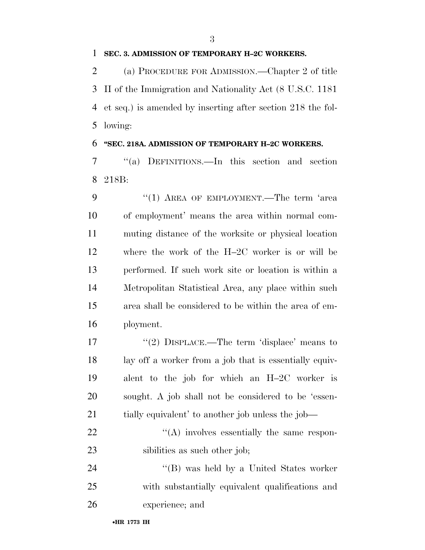#### **SEC. 3. ADMISSION OF TEMPORARY H–2C WORKERS.**

 (a) PROCEDURE FOR ADMISSION.—Chapter 2 of title II of the Immigration and Nationality Act (8 U.S.C. 1181 et seq.) is amended by inserting after section 218 the fol-lowing:

#### **''SEC. 218A. ADMISSION OF TEMPORARY H–2C WORKERS.**

 ''(a) DEFINITIONS.—In this section and section 218B:

9 "(1) AREA OF EMPLOYMENT.—The term 'area of employment' means the area within normal com- muting distance of the worksite or physical location where the work of the H–2C worker is or will be performed. If such work site or location is within a Metropolitan Statistical Area, any place within such area shall be considered to be within the area of em-ployment.

 $(2)$  DISPLACE.—The term 'displace' means to lay off a worker from a job that is essentially equiv- alent to the job for which an H–2C worker is sought. A job shall not be considered to be 'essen- tially equivalent' to another job unless the job—  $\langle (A) \rangle$  involves essentially the same respon-

23 sibilities as such other job;

24 "(B) was held by a United States worker with substantially equivalent qualifications and experience; and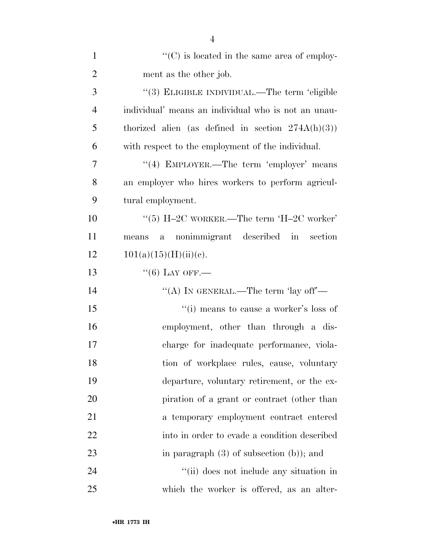| $\mathbf{1}$   | $\lq\lq$ (C) is located in the same area of employ-  |
|----------------|------------------------------------------------------|
| $\overline{2}$ | ment as the other job.                               |
| 3              | "(3) ELIGIBLE INDIVIDUAL.—The term 'eligible         |
| $\overline{4}$ | individual' means an individual who is not an unau-  |
| 5              | thorized alien (as defined in section $274A(h)(3)$ ) |
| 6              | with respect to the employment of the individual.    |
| 7              | "(4) EMPLOYER.—The term 'employer' means             |
| 8              | an employer who hires workers to perform agricul-    |
| 9              | tural employment.                                    |
| 10             | "(5) H-2C WORKER.—The term 'H-2C worker'             |
| 11             | nonimmigrant described in section<br>means<br>$a -$  |
| 12             | 101(a)(15)(H)(ii)(e).                                |
| 13             | $``(6)$ LAY OFF.—                                    |
| 14             | "(A) IN GENERAL.—The term 'lay off'—                 |
| 15             | $``(i)$ means to cause a worker's loss of            |
| 16             | employment, other than through a dis-                |
| 17             | charge for inadequate performance, viola-            |
| 18             | tion of workplace rules, cause, voluntary            |
| 19             | departure, voluntary retirement, or the ex-          |
| 20             | piration of a grant or contract (other than          |
| 21             | a temporary employment contract entered              |
| 22             | into in order to evade a condition described         |
| 23             | in paragraph $(3)$ of subsection $(b)$ ; and         |
| 24             | "(ii) does not include any situation in              |
| 25             | which the worker is offered, as an alter-            |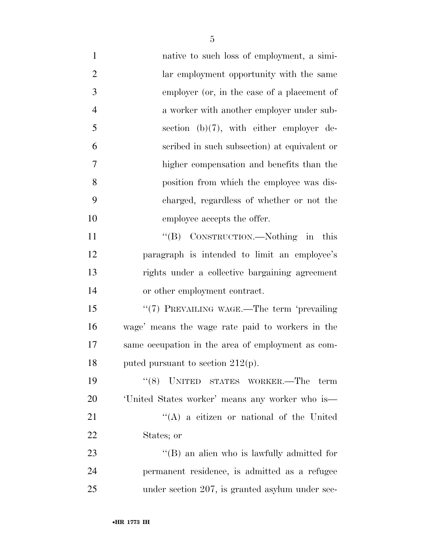native to such loss of employment, a simi- lar employment opportunity with the same employer (or, in the case of a placement of a worker with another employer under sub- section (b)(7), with either employer de- scribed in such subsection) at equivalent or higher compensation and benefits than the position from which the employee was dis- charged, regardless of whether or not the employee accepts the offer. 11 "(B) CONSTRUCTION.—Nothing in this paragraph is intended to limit an employee's rights under a collective bargaining agreement or other employment contract. 15 "(7) PREVAILING WAGE.—The term 'prevailing wage' means the wage rate paid to workers in the same occupation in the area of employment as com-18 puted pursuant to section  $212(p)$ . ''(8) UNITED STATES WORKER.—The term 'United States worker' means any worker who is— 21 ''(A) a citizen or national of the United States; or 23 ''(B) an alien who is lawfully admitted for permanent residence, is admitted as a refugee under section 207, is granted asylum under sec-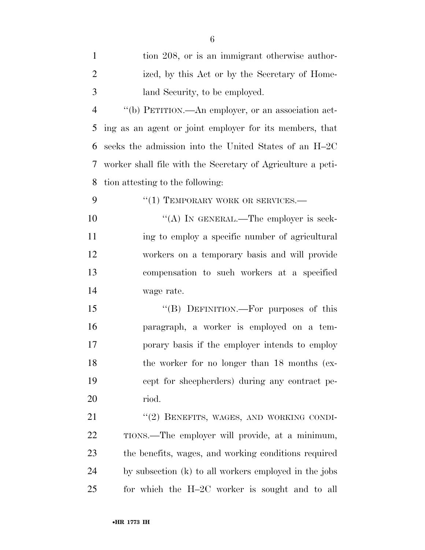| $\mathbf{1}$   | tion 208, or is an immigrant otherwise author-              |
|----------------|-------------------------------------------------------------|
| $\overline{2}$ | ized, by this Act or by the Secretary of Home-              |
| 3              | land Security, to be employed.                              |
| $\overline{4}$ | "(b) PETITION.—An employer, or an association act-          |
| 5              | ing as an agent or joint employer for its members, that     |
| 6              | seeks the admission into the United States of an H-2C       |
| 7              | worker shall file with the Secretary of Agriculture a peti- |
| 8              | tion attesting to the following:                            |
| 9              | "(1) TEMPORARY WORK OR SERVICES.-                           |
| 10             | "(A) IN GENERAL.—The employer is seek-                      |
| 11             | ing to employ a specific number of agricultural             |
| 12             | workers on a temporary basis and will provide               |
| 13             | compensation to such workers at a specified                 |
| 14             | wage rate.                                                  |
| 15             | "(B) DEFINITION.—For purposes of this                       |
| 16             | paragraph, a worker is employed on a tem-                   |
| 17             | porary basis if the employer intends to employ              |
| 18             | the worker for no longer than 18 months (ex-                |
| 19             | cept for sheepherders) during any contract pe-              |
| 20             | riod.                                                       |
| 21             | "(2) BENEFITS, WAGES, AND WORKING CONDI-                    |
| 22             | TIONS.—The employer will provide, at a minimum,             |
| 23             | the benefits, wages, and working conditions required        |
| 24             | by subsection (k) to all workers employed in the jobs       |
| 25             | for which the $H-2C$ worker is sought and to all            |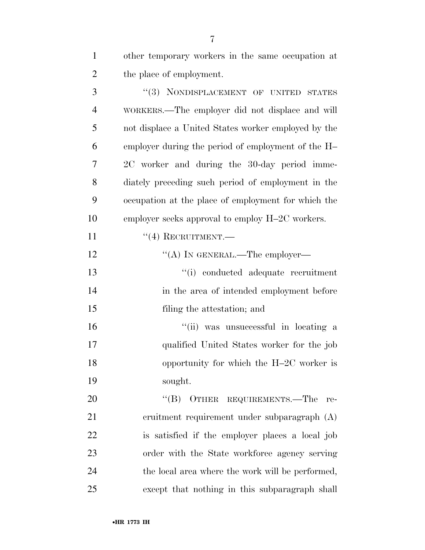other temporary workers in the same occupation at the place of employment.

3 "(3) NONDISPLACEMENT OF UNITED STATES WORKERS.—The employer did not displace and will not displace a United States worker employed by the employer during the period of employment of the H– 2C worker and during the 30-day period imme- diately preceding such period of employment in the occupation at the place of employment for which the employer seeks approval to employ H–2C workers.  $((4)$  RECRUITMENT. 12 "(A) IN GENERAL.—The employer— ''(i) conducted adequate recruitment

 in the area of intended employment before filing the attestation; and

16 ''(ii) was unsuccessful in locating a qualified United States worker for the job 18 opportunity for which the H–2C worker is sought.

20 "(B) OTHER REQUIREMENTS.—The re- cruitment requirement under subparagraph (A) is satisfied if the employer places a local job order with the State workforce agency serving the local area where the work will be performed, except that nothing in this subparagraph shall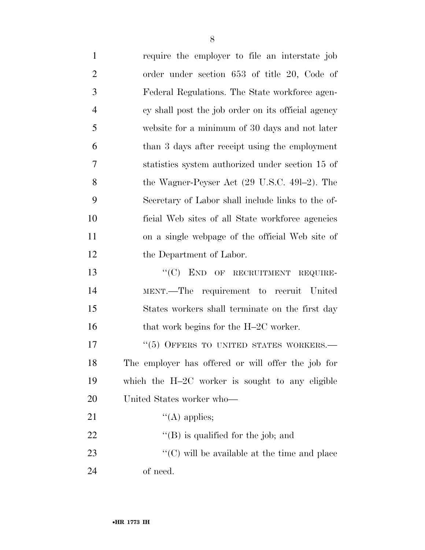| $\mathbf{1}$   | require the employer to file an interstate job           |
|----------------|----------------------------------------------------------|
| $\overline{2}$ | order under section 653 of title 20, Code of             |
| 3              | Federal Regulations. The State workforce agen-           |
| $\overline{4}$ | cy shall post the job order on its official agency       |
| 5              | website for a minimum of 30 days and not later           |
| 6              | than 3 days after receipt using the employment           |
| 7              | statistics system authorized under section 15 of         |
| 8              | the Wagner-Peyser Act $(29 \text{ U.S.C. } 491-2)$ . The |
| 9              | Secretary of Labor shall include links to the of-        |
| 10             | ficial Web sites of all State workforce agencies         |
| 11             | on a single webpage of the official Web site of          |
| 12             | the Department of Labor.                                 |
| 13             | "(C) END OF RECRUITMENT REQUIRE-                         |
| 14             | MENT.—The requirement to recruit United                  |
| 15             | States workers shall terminate on the first day          |
| 16             | that work begins for the H-2C worker.                    |
| 17             | "(5) OFFERS TO UNITED STATES WORKERS.-                   |
| 18             | The employer has offered or will offer the job for       |
| 19             | which the H-2C worker is sought to any eligible          |
| 20             | United States worker who—                                |
| 21             | $\lq\lq$ applies;                                        |
| 22             | $\lq$ (B) is qualified for the job; and                  |
| 23             | $\cdot$ (C) will be available at the time and place      |
| 24             | of need.                                                 |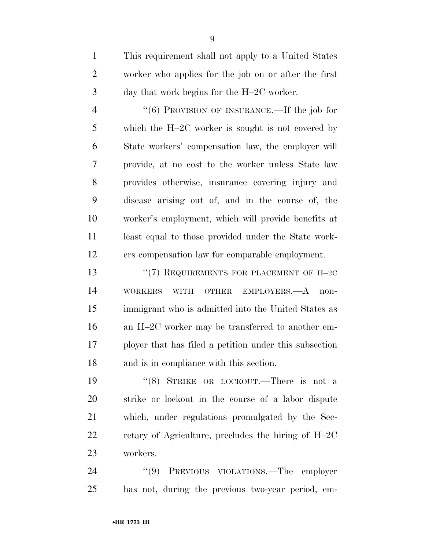This requirement shall not apply to a United States worker who applies for the job on or after the first day that work begins for the H–2C worker.

 ''(6) PROVISION OF INSURANCE.—If the job for which the H–2C worker is sought is not covered by State workers' compensation law, the employer will provide, at no cost to the worker unless State law provides otherwise, insurance covering injury and disease arising out of, and in the course of, the worker's employment, which will provide benefits at least equal to those provided under the State work-ers compensation law for comparable employment.

13 "(7) REQUIREMENTS FOR PLACEMENT OF H-2C WORKERS WITH OTHER EMPLOYERS.—A non- immigrant who is admitted into the United States as an H–2C worker may be transferred to another em- ployer that has filed a petition under this subsection and is in compliance with this section.

 ''(8) STRIKE OR LOCKOUT.—There is not a strike or lockout in the course of a labor dispute which, under regulations promulgated by the Sec- retary of Agriculture, precludes the hiring of H–2C workers.

24 "(9) PREVIOUS VIOLATIONS.—The employer has not, during the previous two-year period, em-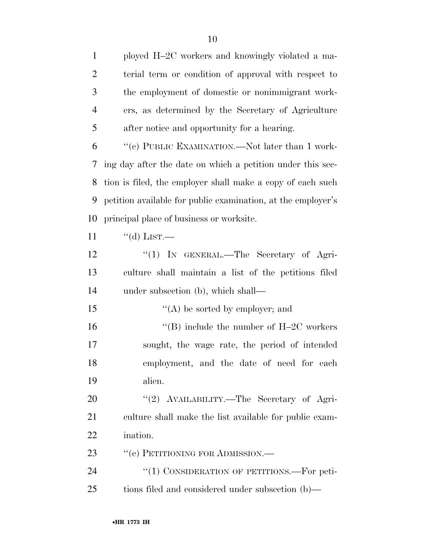ployed H–2C workers and knowingly violated a ma- terial term or condition of approval with respect to the employment of domestic or nonimmigrant work- ers, as determined by the Secretary of Agriculture after notice and opportunity for a hearing. ''(c) PUBLIC EXAMINATION.—Not later than 1 work- ing day after the date on which a petition under this sec- tion is filed, the employer shall make a copy of each such petition available for public examination, at the employer's principal place of business or worksite.  $"$ (d) LIST. 12 "(1) IN GENERAL.—The Secretary of Agri- culture shall maintain a list of the petitions filed under subsection (b), which shall—  $\langle (A) \rangle$  be sorted by employer; and  $\text{``(B)}$  include the number of H–2C workers sought, the wage rate, the period of intended employment, and the date of need for each alien. 20 "'(2) AVAILABILITY.—The Secretary of Agri- culture shall make the list available for public exam- ination. 23 " (e) PETITIONING FOR ADMISSION.— 24 "(1) CONSIDERATION OF PETITIONS.—For peti-tions filed and considered under subsection (b)—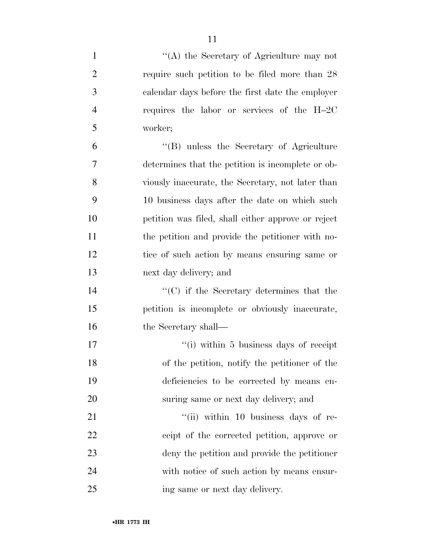1 ''(A) the Secretary of Agriculture may not require such petition to be filed more than 28 calendar days before the first date the employer requires the labor or services of the H–2C worker; ''(B) unless the Secretary of Agriculture determines that the petition is incomplete or ob- viously inaccurate, the Secretary, not later than 10 business days after the date on which such petition was filed, shall either approve or reject the petition and provide the petitioner with no- tice of such action by means ensuring same or next day delivery; and ''(C) if the Secretary determines that the petition is incomplete or obviously inaccurate, 16 the Secretary shall—  $\frac{1}{10}$  is usiness days of receipt of the petition, notify the petitioner of the deficiencies to be corrected by means en- suring same or next day delivery; and  $\frac{1}{10}$  within 10 business days of re- ceipt of the corrected petition, approve or deny the petition and provide the petitioner with notice of such action by means ensur-ing same or next day delivery.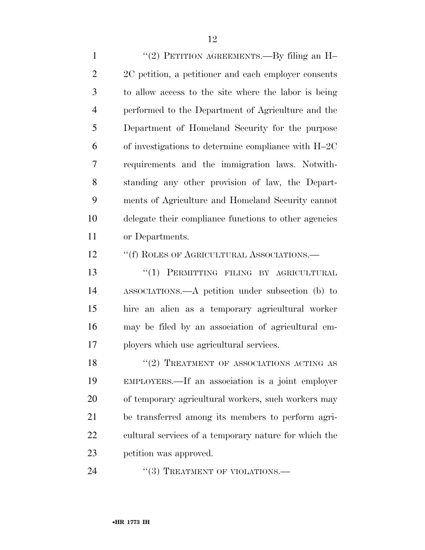1 "(2) PETITION AGREEMENTS.—By filing an H– 2 2C petition, a petitioner and each employer consents to allow access to the site where the labor is being performed to the Department of Agriculture and the Department of Homeland Security for the purpose of investigations to determine compliance with H–2C requirements and the immigration laws. Notwith- standing any other provision of law, the Depart- ments of Agriculture and Homeland Security cannot delegate their compliance functions to other agencies or Departments.

12 <sup>"</sup>(f) ROLES OF AGRICULTURAL ASSOCIATIONS.—

13 "(1) PERMITTING FILING BY AGRICULTURAL ASSOCIATIONS.—A petition under subsection (b) to hire an alien as a temporary agricultural worker may be filed by an association of agricultural em-ployers which use agricultural services.

18 "(2) TREATMENT OF ASSOCIATIONS ACTING AS EMPLOYERS.—If an association is a joint employer of temporary agricultural workers, such workers may be transferred among its members to perform agri- cultural services of a temporary nature for which the petition was approved.

24 "(3) TREATMENT OF VIOLATIONS.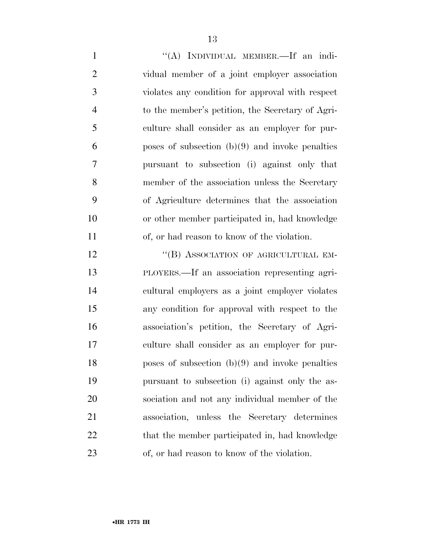1 "(A) INDIVIDUAL MEMBER.—If an indi- vidual member of a joint employer association violates any condition for approval with respect to the member's petition, the Secretary of Agri- culture shall consider as an employer for pur- poses of subsection  $(b)(9)$  and invoke penalties pursuant to subsection (i) against only that member of the association unless the Secretary of Agriculture determines that the association or other member participated in, had knowledge of, or had reason to know of the violation.

12 "(B) ASSOCIATION OF AGRICULTURAL EM- PLOYERS.—If an association representing agri- cultural employers as a joint employer violates any condition for approval with respect to the association's petition, the Secretary of Agri- culture shall consider as an employer for pur- poses of subsection (b)(9) and invoke penalties pursuant to subsection (i) against only the as- sociation and not any individual member of the association, unless the Secretary determines 22 that the member participated in, had knowledge of, or had reason to know of the violation.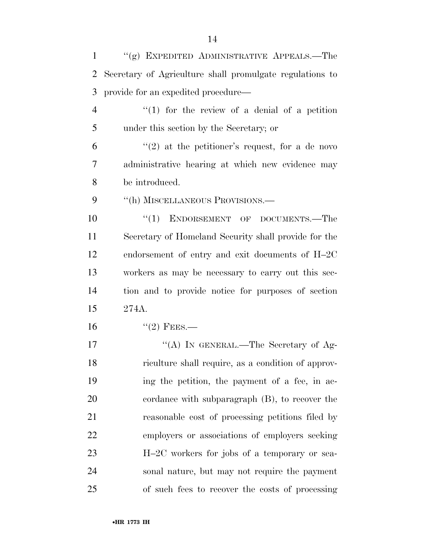''(g) EXPEDITED ADMINISTRATIVE APPEALS.—The Secretary of Agriculture shall promulgate regulations to provide for an expedited procedure—

 ''(1) for the review of a denial of a petition under this section by the Secretary; or

 $(2)$  at the petitioner's request, for a de novo administrative hearing at which new evidence may be introduced.

9 "(h) MISCELLANEOUS PROVISIONS.—

10 "(1) ENDORSEMENT OF DOCUMENTS.—The Secretary of Homeland Security shall provide for the endorsement of entry and exit documents of H–2C workers as may be necessary to carry out this sec- tion and to provide notice for purposes of section 274A.

16  $"(2)$  FEES.—

17 "(A) IN GENERAL.—The Secretary of Ag- riculture shall require, as a condition of approv- ing the petition, the payment of a fee, in ac- cordance with subparagraph (B), to recover the reasonable cost of processing petitions filed by employers or associations of employers seeking H–2C workers for jobs of a temporary or sea- sonal nature, but may not require the payment of such fees to recover the costs of processing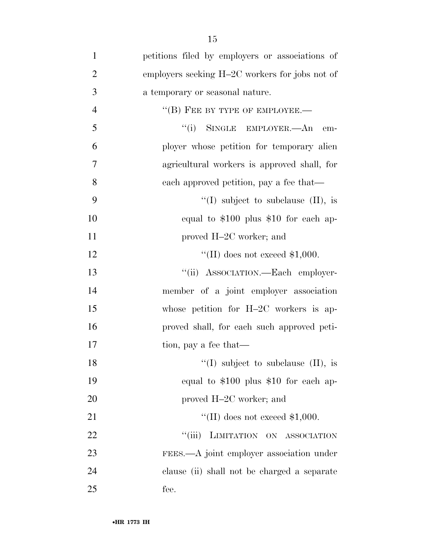| $\mathbf{1}$   | petitions filed by employers or associations of |
|----------------|-------------------------------------------------|
| $\overline{2}$ | employers seeking H-2C workers for jobs not of  |
| 3              | a temporary or seasonal nature.                 |
| $\overline{4}$ | $\lq\lq (B)$ FEE BY TYPE OF EMPLOYEE.—          |
| 5              | "(i) SINGLE EMPLOYER.—An<br>em-                 |
| 6              | ployer whose petition for temporary alien       |
| 7              | agricultural workers is approved shall, for     |
| 8              | each approved petition, pay a fee that—         |
| 9              | "(I) subject to subclause $(II)$ , is           |
| 10             | equal to $$100$ plus $$10$ for each ap-         |
| 11             | proved H-2C worker; and                         |
| 12             | "(II) does not exceed $$1,000$ .                |
| 13             | "(ii) ASSOCIATION.—Each employer-               |
| 14             | member of a joint employer association          |
| 15             | whose petition for H-2C workers is ap-          |
| 16             | proved shall, for each such approved peti-      |
| 17             | tion, pay a fee that—                           |
| 18             | "(I) subject to subclause $(II)$ , is           |
| 19             | equal to $$100$ plus $$10$ for each ap-         |
| 20             | proved H-2C worker; and                         |
| 21             | "(II) does not exceed $$1,000$ .                |
| 22             | ``(iii)<br>LIMITATION ON ASSOCIATION            |
| 23             | FEES.—A joint employer association under        |
| 24             | clause (ii) shall not be charged a separate     |
| 25             | fee.                                            |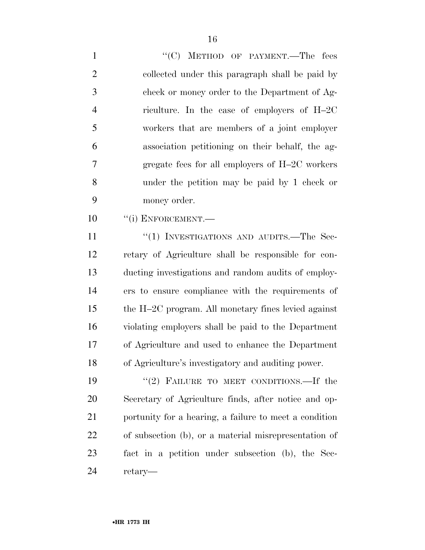1 "'(C) METHOD OF PAYMENT.—The fees collected under this paragraph shall be paid by check or money order to the Department of Ag- riculture. In the case of employers of H–2C workers that are members of a joint employer association petitioning on their behalf, the ag- gregate fees for all employers of H–2C workers under the petition may be paid by 1 check or money order.

10 <sup>"</sup>(i) ENFORCEMENT.

11 "(1) INVESTIGATIONS AND AUDITS.—The Sec- retary of Agriculture shall be responsible for con- ducting investigations and random audits of employ- ers to ensure compliance with the requirements of the H–2C program. All monetary fines levied against violating employers shall be paid to the Department of Agriculture and used to enhance the Department of Agriculture's investigatory and auditing power.

19 "(2) FAILURE TO MEET CONDITIONS.—If the Secretary of Agriculture finds, after notice and op- portunity for a hearing, a failure to meet a condition of subsection (b), or a material misrepresentation of fact in a petition under subsection (b), the Sec-retary—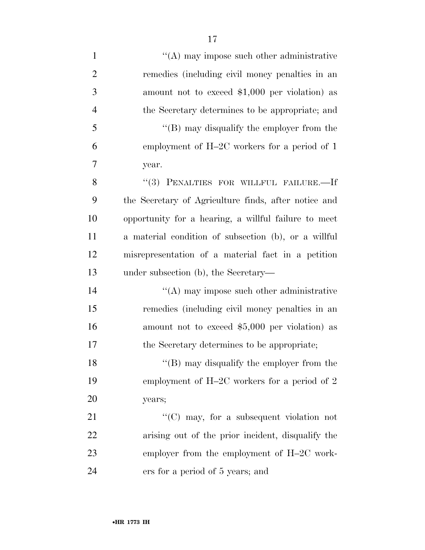| $\mathbf{1}$   | $\cdot$ (A) may impose such other administrative     |
|----------------|------------------------------------------------------|
| $\overline{2}$ | remedies (including civil money penalties in an      |
| 3              | amount not to exceed $$1,000$ per violation) as      |
| $\overline{4}$ | the Secretary determines to be appropriate; and      |
| 5              | " $(B)$ may disqualify the employer from the         |
| 6              | employment of H-2C workers for a period of 1         |
| 7              | year.                                                |
| 8              | "(3) PENALTIES FOR WILLFUL FAILURE.-If               |
| 9              | the Secretary of Agriculture finds, after notice and |
| 10             | opportunity for a hearing, a willful failure to meet |
| 11             | a material condition of subsection (b), or a willful |
| 12             | misrepresentation of a material fact in a petition   |
| 13             | under subsection (b), the Secretary—                 |
| 14             | $\lq\lq$ may impose such other administrative        |
| 15             | remedies (including civil money penalties in an      |
| 16             | amount not to exceed $$5,000$ per violation) as      |
| 17             | the Secretary determines to be appropriate;          |
| 18             | $\lq\lq$ (B) may disqualify the employer from the    |
| 19             | employment of H-2C workers for a period of 2         |
| 20             | years;                                               |
| 21             | "(C) may, for a subsequent violation not             |
| 22             | arising out of the prior incident, disqualify the    |
| 23             | employer from the employment of $H-2C$ work-         |
| 24             | ers for a period of 5 years; and                     |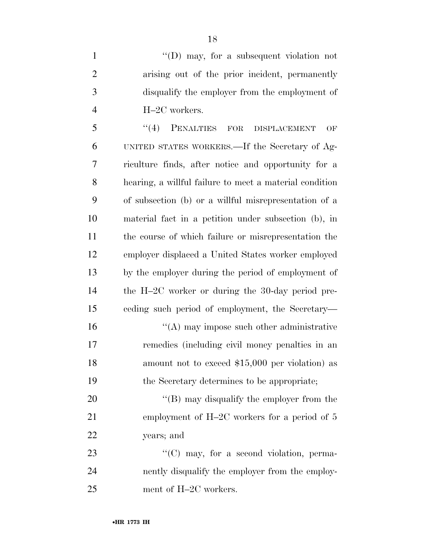1 ''(D) may, for a subsequent violation not arising out of the prior incident, permanently disqualify the employer from the employment of H–2C workers.

 ''(4) PENALTIES FOR DISPLACEMENT OF UNITED STATES WORKERS.—If the Secretary of Ag- riculture finds, after notice and opportunity for a hearing, a willful failure to meet a material condition of subsection (b) or a willful misrepresentation of a material fact in a petition under subsection (b), in the course of which failure or misrepresentation the employer displaced a United States worker employed by the employer during the period of employment of the H–2C worker or during the 30-day period pre- ceding such period of employment, the Secretary— 16 ''(A) may impose such other administrative remedies (including civil money penalties in an 18 amount not to exceed \$15,000 per violation) as the Secretary determines to be appropriate;

20 "'(B) may disqualify the employer from the 21 employment of H–2C workers for a period of 5 years; and

23  $\text{``(C) may, for a second violation, perma-}$  nently disqualify the employer from the employ-ment of H–2C workers.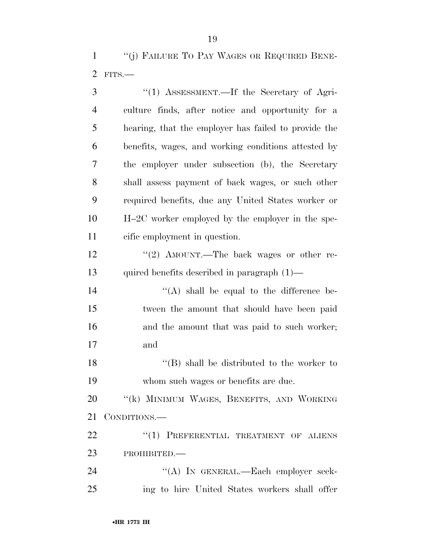| 3              | " $(1)$ ASSESSMENT.—If the Secretary of Agri-        |
|----------------|------------------------------------------------------|
| $\overline{4}$ | culture finds, after notice and opportunity for a    |
| 5              | hearing, that the employer has failed to provide the |
| 6              | benefits, wages, and working conditions attested by  |
| 7              | the employer under subsection (b), the Secretary     |
| 8              | shall assess payment of back wages, or such other    |
| 9              | required benefits, due any United States worker or   |
| 10             | H-2C worker employed by the employer in the spe-     |
| 11             | cific employment in question.                        |
| 12             | "(2) AMOUNT.—The back wages or other re-             |
| 13             | quired benefits described in paragraph $(1)$ —       |
| 14             | $\lq\lq$ shall be equal to the difference be-        |
| 15             | tween the amount that should have been paid          |
| 16             | and the amount that was paid to such worker;         |
| 17             | and                                                  |
| 18             | $\lq\lq (B)$ shall be distributed to the worker to   |
| 19             | whom such wages or benefits are due.                 |
| 20             | "(k) MINIMUM WAGES, BENEFITS, AND WORKING            |
| 21             | CONDITIONS.-                                         |
| 22             | "(1) PREFERENTIAL TREATMENT OF ALIENS                |
| 23             | PROHIBITED.-                                         |
| 24             | "(A) IN GENERAL.—Each employer seek-                 |
| 25             | ing to hire United States workers shall offer        |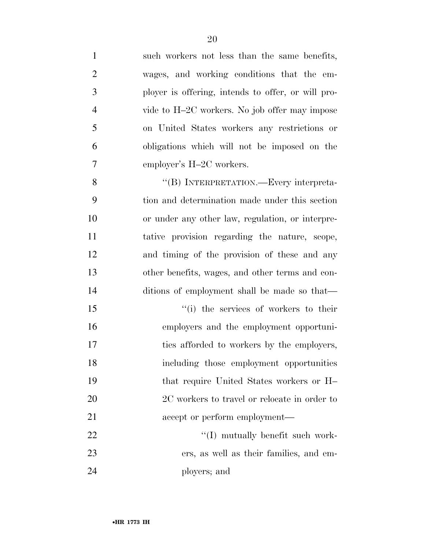| $\mathbf{1}$   | such workers not less than the same benefits,      |
|----------------|----------------------------------------------------|
| $\mathfrak{2}$ | wages, and working conditions that the em-         |
| 3              | ployer is offering, intends to offer, or will pro- |
| $\overline{4}$ | vide to H-2C workers. No job offer may impose      |
| 5              | on United States workers any restrictions or       |
| 6              | obligations which will not be imposed on the       |
| 7              | employer's H-2C workers.                           |
| 8              | "(B) INTERPRETATION.—Every interpreta-             |
| 9              | tion and determination made under this section     |
| 10             | or under any other law, regulation, or interpre-   |
| 11             | tative provision regarding the nature, scope,      |
| 12             | and timing of the provision of these and any       |
| 13             | other benefits, wages, and other terms and con-    |
| 14             | ditions of employment shall be made so that—       |
| 15             | "(i) the services of workers to their              |
| 16             | employers and the employment opportuni-            |
| 17             | ties afforded to workers by the employers,         |
| 18             | including those employment opportunities           |
| 19             | that require United States workers or H            |
| 20             | 2C workers to travel or relocate in order to       |
| 21             | accept or perform employment—                      |
| 22             | "(I) mutually benefit such work-                   |
| 23             | ers, as well as their families, and em-            |
| 24             | ployers; and                                       |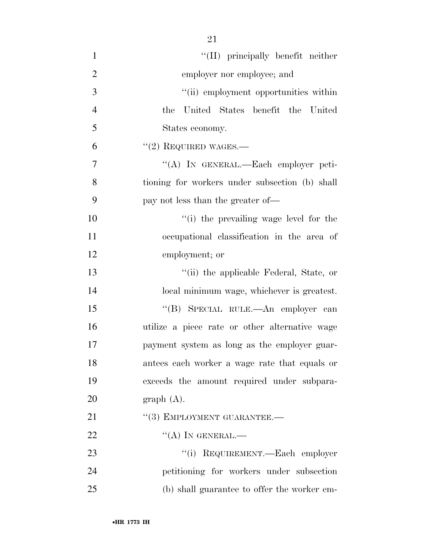| $\mathbf{1}$   | "(II) principally benefit neither              |
|----------------|------------------------------------------------|
| $\overline{2}$ | employer nor employee; and                     |
| 3              | "(ii) employment opportunities within          |
| $\overline{4}$ | United States benefit the United<br>the        |
| 5              | States economy.                                |
| 6              | $``(2)$ REQUIRED WAGES.—                       |
| $\tau$         | "(A) IN GENERAL.—Each employer peti-           |
| 8              | tioning for workers under subsection (b) shall |
| 9              | pay not less than the greater of—              |
| 10             | "(i) the prevailing wage level for the         |
| 11             | occupational classification in the area of     |
| 12             | employment; or                                 |
| 13             | "(ii) the applicable Federal, State, or        |
| 14             | local minimum wage, whichever is greatest.     |
| 15             | "(B) SPECIAL RULE.—An employer can             |
| 16             | utilize a piece rate or other alternative wage |
| 17             | payment system as long as the employer guar-   |
| 18             | antees each worker a wage rate that equals or  |
| 19             | exceeds the amount required under subpara-     |
| 20             | graph(A).                                      |
| 21             | "(3) EMPLOYMENT GUARANTEE.-                    |
| 22             | $\lq\lq (A)$ In GENERAL.—                      |
| 23             | "(i) REQUIREMENT.—Each employer                |
| 24             | petitioning for workers under subsection       |
| 25             | (b) shall guarantee to offer the worker em-    |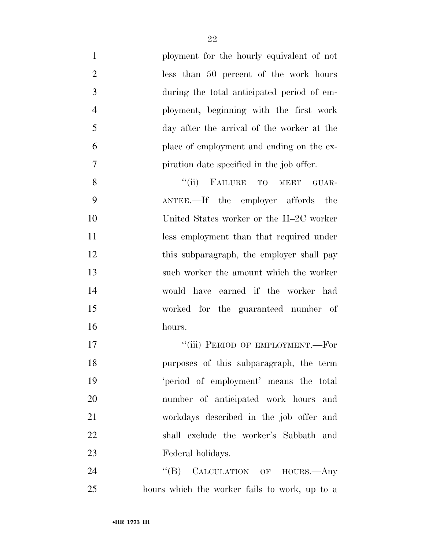| $\mathbf{1}$   | ployment for the hourly equivalent of not     |
|----------------|-----------------------------------------------|
| $\overline{2}$ | less than 50 percent of the work hours        |
| $\mathfrak{Z}$ | during the total anticipated period of em-    |
| $\overline{4}$ | ployment, beginning with the first work       |
| 5              | day after the arrival of the worker at the    |
| 6              | place of employment and ending on the ex-     |
| 7              | piration date specified in the job offer.     |
| 8              | "(ii) FAILURE TO MEET<br>GUAR-                |
| 9              | ANTEE.—If the employer affords<br>the         |
| 10             | United States worker or the H-2C worker       |
| 11             | less employment than that required under      |
| 12             | this subparagraph, the employer shall pay     |
| 13             | such worker the amount which the worker       |
| 14             | would have earned if the worker had           |
| 15             | worked for the guaranteed number of           |
| 16             | hours.                                        |
| 17             | "(iii) PERIOD OF EMPLOYMENT.—For              |
| 18             | purposes of this subparagraph, the term       |
| 19             | 'period of employment' means the total        |
| 20             | number of anticipated work hours and          |
| 21             | workdays described in the job offer and       |
| 22             | shall exclude the worker's Sabbath and        |
| 23             | Federal holidays.                             |
| 24             | "(B) CALCULATION OF HOURS.—Any                |
| 25             | hours which the worker fails to work, up to a |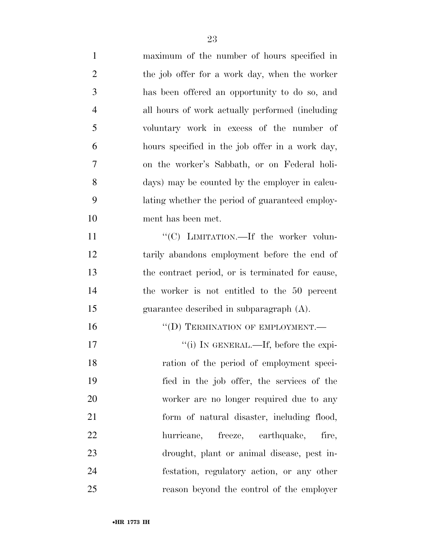| $\mathbf{1}$   | maximum of the number of hours specified in      |
|----------------|--------------------------------------------------|
| $\overline{2}$ | the job offer for a work day, when the worker    |
| 3              | has been offered an opportunity to do so, and    |
| $\overline{4}$ | all hours of work actually performed (including  |
| 5              | voluntary work in excess of the number of        |
| 6              | hours specified in the job offer in a work day,  |
| 7              | on the worker's Sabbath, or on Federal holi-     |
| 8              | days) may be counted by the employer in calcu-   |
| 9              | lating whether the period of guaranteed employ-  |
| 10             | ment has been met.                               |
| 11             | "(C) LIMITATION.—If the worker volun-            |
| 12             | tarily abandons employment before the end of     |
| 13             | the contract period, or is terminated for cause, |
| 14             | the worker is not entitled to the 50 percent     |
| 15             | guarantee described in subparagraph $(A)$ .      |
| 16             | "(D) TERMINATION OF EMPLOYMENT.-                 |
| 17             | "(i) IN GENERAL.—If, before the expi-            |
| 18             | ration of the period of employment speci-        |
| 19             | fied in the job offer, the services of the       |
| 20             | worker are no longer required due to any         |
| 21             | form of natural disaster, including flood,       |
| 22             | hurricane, freeze, earthquake,<br>fire,          |
| 23             | drought, plant or animal disease, pest in-       |
| 24             | festation, regulatory action, or any other       |
| 25             | reason beyond the control of the employer        |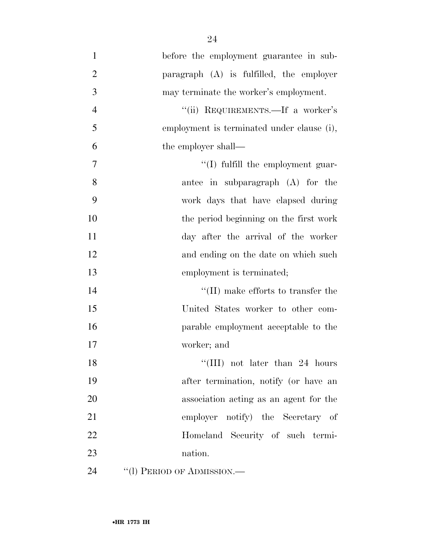| $\mathbf{1}$   | before the employment guarantee in sub-    |
|----------------|--------------------------------------------|
| $\overline{2}$ | paragraph (A) is fulfilled, the employer   |
| 3              | may terminate the worker's employment.     |
| $\overline{4}$ | "(ii) REQUIREMENTS.—If a worker's          |
| 5              | employment is terminated under clause (i), |
| 6              | the employer shall—                        |
| 7              | "(I) fulfill the employment guar-          |
| 8              | antee in subparagraph $(A)$ for the        |
| 9              | work days that have elapsed during         |
| 10             | the period beginning on the first work     |
| 11             | day after the arrival of the worker        |
| 12             | and ending on the date on which such       |
| 13             | employment is terminated;                  |
| 14             | $\lq\lq$ (II) make efforts to transfer the |
| 15             | United States worker to other com-         |
| 16             | parable employment acceptable to the       |
| 17             | worker; and                                |
| 18             | "(III) not later than 24 hours             |
| 19             | after termination, notify (or have an      |
| 20             | association acting as an agent for the     |
| 21             | employer notify) the Secretary of          |
| 22             | Homeland Security of such termi-           |
| 23             | nation.                                    |
| 24             | "(1) PERIOD OF ADMISSION.—                 |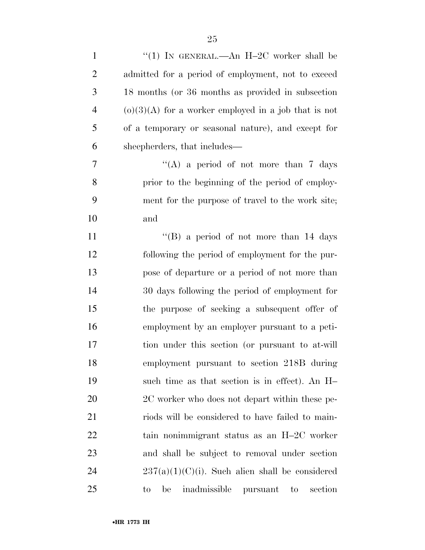| $\mathbf{1}$   | "(1) IN GENERAL.—An $H-2C$ worker shall be                                    |
|----------------|-------------------------------------------------------------------------------|
| $\overline{2}$ | admitted for a period of employment, not to exceed                            |
| 3              | 18 months (or 36 months as provided in subsection                             |
| $\overline{4}$ | $(o)(3)(A)$ for a worker employed in a job that is not                        |
| 5              | of a temporary or seasonal nature), and except for                            |
| 6              | sheepherders, that includes—                                                  |
| 7              | "(A) a period of not more than 7 days                                         |
| 8              | prior to the beginning of the period of employ-                               |
| 9              | ment for the purpose of travel to the work site;                              |
| 10             | and                                                                           |
| 11             | "(B) a period of not more than $14$ days                                      |
| 12             | following the period of employment for the pur-                               |
| 13             | pose of departure or a period of not more than                                |
| 14             | 30 days following the period of employment for                                |
| 15             | the purpose of seeking a subsequent offer of                                  |
| 16             | employment by an employer pursuant to a peti-                                 |
| $17\,$         | tion under this section (or pursuant to at-will                               |
| 18             | employment pursuant to section 218B during                                    |
| 19             | such time as that section is in effect). An H-                                |
| 20             | 2C worker who does not depart within these pe-                                |
| 21             | riods will be considered to have failed to main-                              |
| 22             | tain nonimmigrant status as an H-2C worker                                    |
| 23             | and shall be subject to removal under section                                 |
| 24             | $237(a)(1)(C)(i)$ . Such alien shall be considered                            |
| 25             | inadmissible pursuant<br>section<br>be<br>$\rm{to}$<br>$\mathop{\mathrm{to}}$ |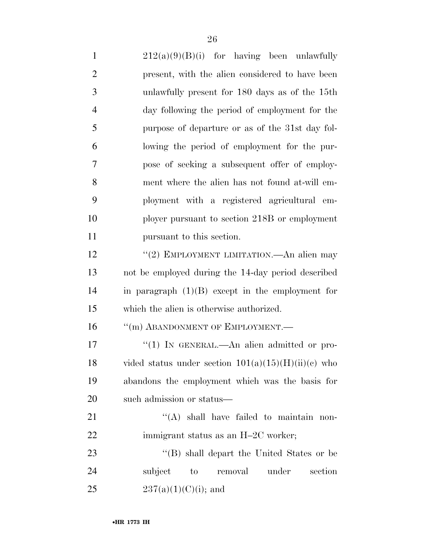$212(a)(9)(B)(i)$  for having been unlawfully present, with the alien considered to have been unlawfully present for 180 days as of the 15th day following the period of employment for the purpose of departure or as of the 31st day fol- lowing the period of employment for the pur- pose of seeking a subsequent offer of employ- ment where the alien has not found at-will em- ployment with a registered agricultural em- ployer pursuant to section 218B or employment pursuant to this section. 12 "(2) EMPLOYMENT LIMITATION.—An alien may not be employed during the 14-day period described in paragraph (1)(B) except in the employment for which the alien is otherwise authorized. 16 "(m) ABANDONMENT OF EMPLOYMENT.— 17 "(1) IN GENERAL.—An alien admitted or pro-18 vided status under section  $101(a)(15)(H)(ii)(c)$  who abandons the employment which was the basis for such admission or status— 21 "'(A) shall have failed to maintain non-22 immigrant status as an H–2C worker; 23 ''(B) shall depart the United States or be subject to removal under section

25  $237(a)(1)(C)(i)$ ; and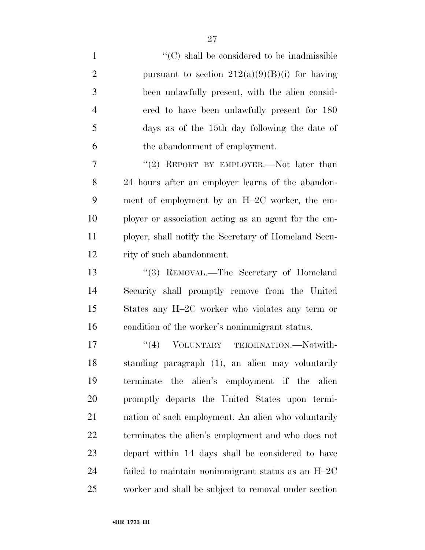$\cdot$  (C) shall be considered to be inadmissible 2 pursuant to section  $212(a)(9)(B)(i)$  for having been unlawfully present, with the alien consid- ered to have been unlawfully present for 180 days as of the 15th day following the date of the abandonment of employment. 7 "(2) REPORT BY EMPLOYER.—Not later than 24 hours after an employer learns of the abandon- ment of employment by an H–2C worker, the em- ployer or association acting as an agent for the em- ployer, shall notify the Secretary of Homeland Secu-rity of such abandonment.

13 "(3) REMOVAL.—The Secretary of Homeland Security shall promptly remove from the United States any H–2C worker who violates any term or condition of the worker's nonimmigrant status.

 $\frac{17}{17}$  VOLUNTARY TERMINATION. Notwith- standing paragraph (1), an alien may voluntarily terminate the alien's employment if the alien promptly departs the United States upon termi- nation of such employment. An alien who voluntarily terminates the alien's employment and who does not depart within 14 days shall be considered to have failed to maintain nonimmigrant status as an H–2C worker and shall be subject to removal under section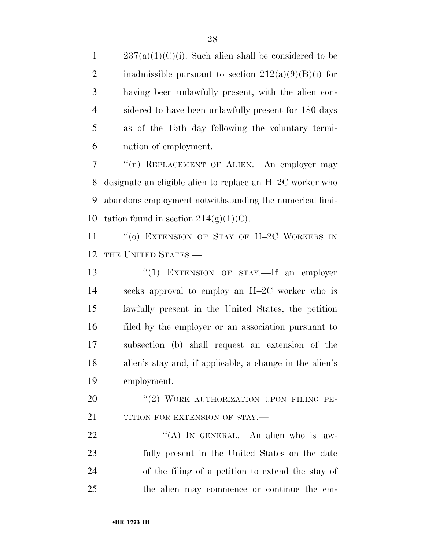$237(a)(1)(C)(i)$ . Such alien shall be considered to be 2 inadmissible pursuant to section  $212(a)(9)(B)(i)$  for having been unlawfully present, with the alien con- sidered to have been unlawfully present for 180 days as of the 15th day following the voluntary termi-nation of employment.

 ''(n) REPLACEMENT OF ALIEN.—An employer may designate an eligible alien to replace an H–2C worker who abandons employment notwithstanding the numerical limi-10 tation found in section  $214(g)(1)(C)$ .

11 "(0) EXTENSION OF STAY OF H-2C WORKERS IN THE UNITED STATES.—

13 "(1) EXTENSION OF STAY.—If an employer seeks approval to employ an H–2C worker who is lawfully present in the United States, the petition filed by the employer or an association pursuant to subsection (b) shall request an extension of the alien's stay and, if applicable, a change in the alien's employment.

20 "(2) WORK AUTHORIZATION UPON FILING PE-21 TITION FOR EXTENSION OF STAY.—

22 "'(A) IN GENERAL.—An alien who is law- fully present in the United States on the date of the filing of a petition to extend the stay of the alien may commence or continue the em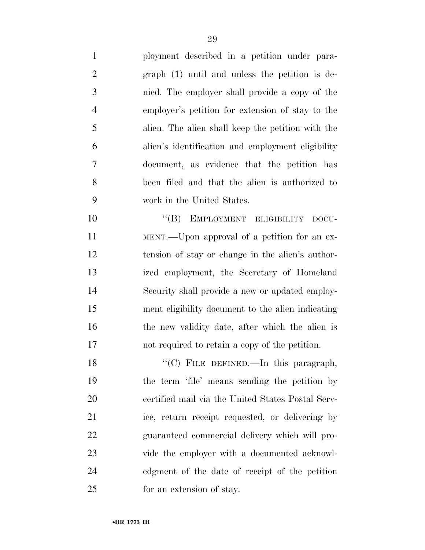ployment described in a petition under para- graph (1) until and unless the petition is de- nied. The employer shall provide a copy of the employer's petition for extension of stay to the alien. The alien shall keep the petition with the alien's identification and employment eligibility document, as evidence that the petition has been filed and that the alien is authorized to work in the United States.

10 "(B) EMPLOYMENT ELIGIBILITY DOCU- MENT.—Upon approval of a petition for an ex- tension of stay or change in the alien's author- ized employment, the Secretary of Homeland Security shall provide a new or updated employ- ment eligibility document to the alien indicating 16 the new validity date, after which the alien is not required to retain a copy of the petition.

18 "'(C) FILE DEFINED.—In this paragraph, the term 'file' means sending the petition by certified mail via the United States Postal Serv- ice, return receipt requested, or delivering by guaranteed commercial delivery which will pro- vide the employer with a documented acknowl- edgment of the date of receipt of the petition for an extension of stay.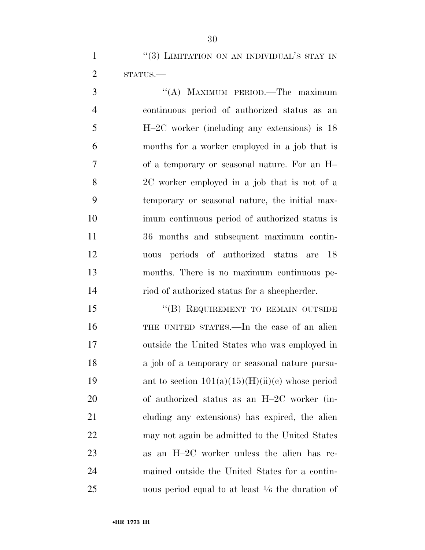1 ''(3) LIMITATION ON AN INDIVIDUAL'S STAY IN STATUS.—

3 "(A) MAXIMUM PERIOD.—The maximum continuous period of authorized status as an H–2C worker (including any extensions) is 18 months for a worker employed in a job that is of a temporary or seasonal nature. For an H– 2C worker employed in a job that is not of a temporary or seasonal nature, the initial max- imum continuous period of authorized status is 36 months and subsequent maximum contin- uous periods of authorized status are 18 months. There is no maximum continuous pe-riod of authorized status for a sheepherder.

15 "(B) REQUIREMENT TO REMAIN OUTSIDE THE UNITED STATES.—In the case of an alien outside the United States who was employed in a job of a temporary or seasonal nature pursu-19 ant to section  $101(a)(15)(H)(ii)(c)$  whose period of authorized status as an H–2C worker (in- cluding any extensions) has expired, the alien may not again be admitted to the United States as an H–2C worker unless the alien has re- mained outside the United States for a contin-25 magnetic uous period equal to at least  $\frac{1}{6}$  the duration of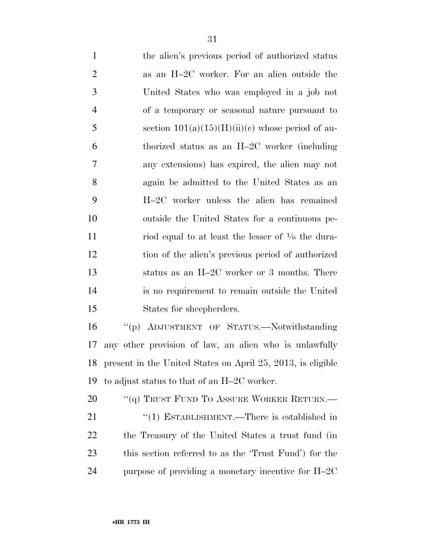| $\mathbf{1}$   | the alien's previous period of authorized status             |
|----------------|--------------------------------------------------------------|
| $\overline{2}$ | as an H-2C worker. For an alien outside the                  |
| 3              | United States who was employed in a job not                  |
| $\overline{4}$ | of a temporary or seasonal nature pursuant to                |
| 5              | section $101(a)(15)(H)(ii)(e)$ whose period of au-           |
| 6              | thorized status as an H-2C worker (including                 |
| $\tau$         | any extensions) has expired, the alien may not               |
| 8              | again be admitted to the United States as an                 |
| 9              | H-2C worker unless the alien has remained                    |
| 10             | outside the United States for a continuous pe-               |
| 11             | riod equal to at least the lesser of $\frac{1}{6}$ the dura- |
| 12             | tion of the alien's previous period of authorized            |
| 13             | status as an H-2C worker or 3 months. There                  |
| 14             | is no requirement to remain outside the United               |
| 15             | States for sheepherders.                                     |
| 16             | "(p) ADJUSTMENT OF STATUS.—Notwithstanding                   |
| 17             | any other provision of law, an alien who is unlawfully       |
| 18             | present in the United States on April 25, 2013, is eligible  |
| 19             | to adjust status to that of an H-2C worker.                  |
| 20             | "(q) TRUST FUND TO ASSURE WORKER RETURN.—                    |
| 21             | "(1) ESTABLISHMENT.—There is established in                  |
| 22             | the Treasury of the United States a trust fund (in           |
| 23             | this section referred to as the 'Trust Fund') for the        |
| 24             | purpose of providing a monetary incentive for H-2C           |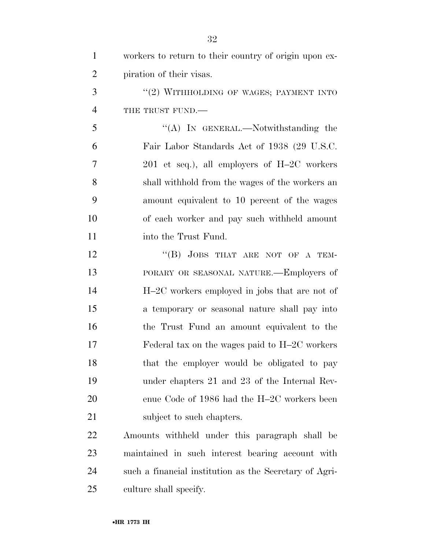| $\mathbf{1}$   | workers to return to their country of origin upon ex-  |
|----------------|--------------------------------------------------------|
| $\overline{2}$ | piration of their visas.                               |
| 3              | "(2) WITHHOLDING OF WAGES; PAYMENT INTO                |
| $\overline{4}$ | THE TRUST FUND.                                        |
| 5              | "(A) IN GENERAL.—Notwithstanding the                   |
| 6              | Fair Labor Standards Act of 1938 (29 U.S.C.            |
| 7              | $201$ et seq.), all employers of H-2C workers          |
| 8              | shall withhold from the wages of the workers an        |
| 9              | amount equivalent to 10 percent of the wages           |
| 10             | of each worker and pay such withheld amount            |
| 11             | into the Trust Fund.                                   |
| 12             | "(B) JOBS THAT ARE NOT OF A TEM-                       |
| 13             | PORARY OR SEASONAL NATURE.—Employers of                |
| 14             | H-2C workers employed in jobs that are not of          |
| 15             | a temporary or seasonal nature shall pay into          |
| 16             | the Trust Fund an amount equivalent to the             |
| 17             | Federal tax on the wages paid to $H-2C$ workers        |
| 18             | that the employer would be obligated to pay            |
| 19             | under chapters 21 and 23 of the Internal Rev-          |
| 20             | enue Code of 1986 had the H-2C workers been            |
| 21             | subject to such chapters.                              |
| 22             | Amounts withheld under this paragraph shall be         |
| 23             | maintained in such interest bearing account with       |
| 24             | such a financial institution as the Secretary of Agri- |
| 25             | culture shall specify.                                 |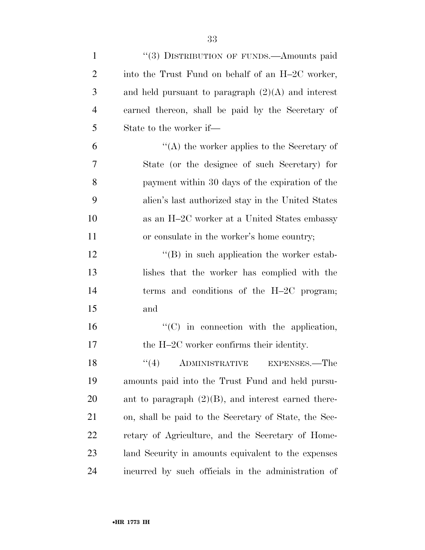| $\mathbf{1}$   | "(3) DISTRIBUTION OF FUNDS.—Amounts paid               |
|----------------|--------------------------------------------------------|
| $\overline{2}$ | into the Trust Fund on behalf of an H-2C worker,       |
| 3              | and held pursuant to paragraph $(2)(A)$ and interest   |
| $\overline{4}$ | earned thereon, shall be paid by the Secretary of      |
| 5              | State to the worker if—                                |
| 6              | $\lq\lq$ the worker applies to the Secretary of        |
| 7              | State (or the designee of such Secretary) for          |
| 8              | payment within 30 days of the expiration of the        |
| 9              | alien's last authorized stay in the United States      |
| 10             | as an H-2C worker at a United States embassy           |
| 11             | or consulate in the worker's home country;             |
| 12             | $\lq\lq (B)$ in such application the worker estab-     |
| 13             | lishes that the worker has complied with the           |
| 14             | terms and conditions of the $H-2C$ program;            |
| 15             | and                                                    |
| 16             | $\lq\lq$ (C) in connection with the application,       |
| 17             | the H-2C worker confirms their identity.               |
| 18             | (4)<br><b>ADMINISTRATIVE</b><br>EXPENSES.—The          |
| 19             | amounts paid into the Trust Fund and held pursu-       |
| <b>20</b>      | ant to paragraph $(2)(B)$ , and interest earned there- |
| 21             | on, shall be paid to the Secretary of State, the Sec-  |
| <u>22</u>      | retary of Agriculture, and the Secretary of Home-      |
| 23             | land Security in amounts equivalent to the expenses    |
| 24             | incurred by such officials in the administration of    |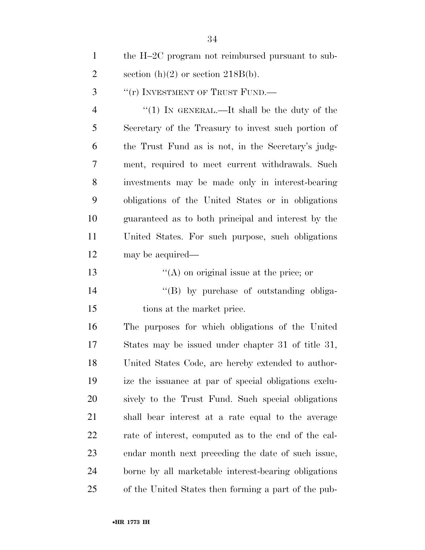the H–2C program not reimbursed pursuant to sub-2 section  $(h)(2)$  or section 218B(b).

3 "(r) INVESTMENT OF TRUST FUND.—

4 "(1) In GENERAL.—It shall be the duty of the Secretary of the Treasury to invest such portion of the Trust Fund as is not, in the Secretary's judg- ment, required to meet current withdrawals. Such investments may be made only in interest-bearing obligations of the United States or in obligations guaranteed as to both principal and interest by the United States. For such purpose, such obligations may be acquired—

- 13  $\langle (A)$  on original issue at the price; or
- 14  $\langle$  (B) by purchase of outstanding obliga-tions at the market price.

 The purposes for which obligations of the United States may be issued under chapter 31 of title 31, United States Code, are hereby extended to author- ize the issuance at par of special obligations exclu- sively to the Trust Fund. Such special obligations shall bear interest at a rate equal to the average rate of interest, computed as to the end of the cal- endar month next preceding the date of such issue, borne by all marketable interest-bearing obligations of the United States then forming a part of the pub-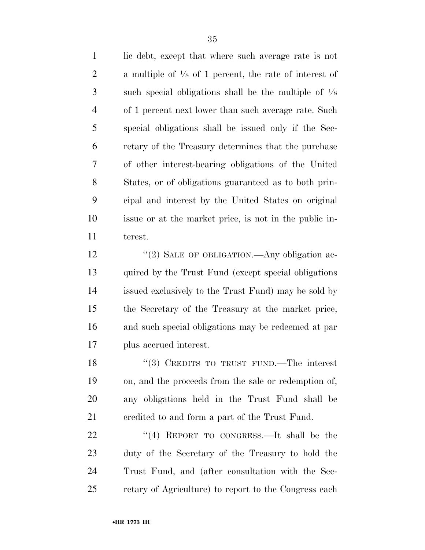lic debt, except that where such average rate is not 2 a multiple of  $\frac{1}{8}$  of 1 percent, the rate of interest of  $\sim$  such special obligations shall be the multiple of  $\frac{1}{8}$  of 1 percent next lower than such average rate. Such special obligations shall be issued only if the Sec- retary of the Treasury determines that the purchase of other interest-bearing obligations of the United States, or of obligations guaranteed as to both prin- cipal and interest by the United States on original issue or at the market price, is not in the public in-terest.

12 "(2) SALE OF OBLIGATION.—Any obligation ac- quired by the Trust Fund (except special obligations issued exclusively to the Trust Fund) may be sold by the Secretary of the Treasury at the market price, and such special obligations may be redeemed at par plus accrued interest.

18 "(3) CREDITS TO TRUST FUND.—The interest on, and the proceeds from the sale or redemption of, any obligations held in the Trust Fund shall be credited to and form a part of the Trust Fund.

22 "(4) REPORT TO CONGRESS.—It shall be the duty of the Secretary of the Treasury to hold the Trust Fund, and (after consultation with the Sec-retary of Agriculture) to report to the Congress each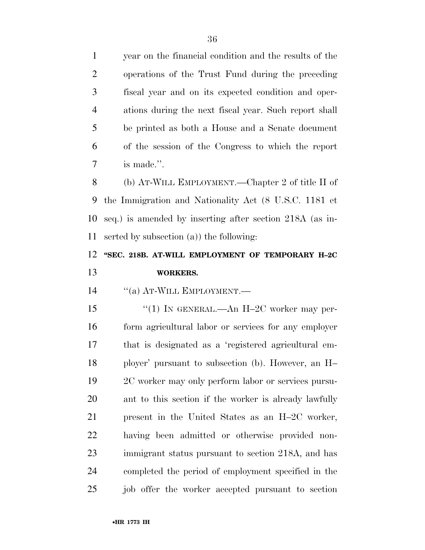year on the financial condition and the results of the operations of the Trust Fund during the preceding fiscal year and on its expected condition and oper- ations during the next fiscal year. Such report shall be printed as both a House and a Senate document of the session of the Congress to which the report is made.''.

 (b) AT-WILL EMPLOYMENT.—Chapter 2 of title II of the Immigration and Nationality Act (8 U.S.C. 1181 et seq.) is amended by inserting after section 218A (as in-serted by subsection (a)) the following:

# **''SEC. 218B. AT-WILL EMPLOYMENT OF TEMPORARY H–2C WORKERS.**

14 "(a) AT-WILL EMPLOYMENT.—

15 "(1) IN GENERAL.—An H-2C worker may per- form agricultural labor or services for any employer that is designated as a 'registered agricultural em- ployer' pursuant to subsection (b). However, an H– 2C worker may only perform labor or services pursu- ant to this section if the worker is already lawfully present in the United States as an H–2C worker, having been admitted or otherwise provided non- immigrant status pursuant to section 218A, and has completed the period of employment specified in the job offer the worker accepted pursuant to section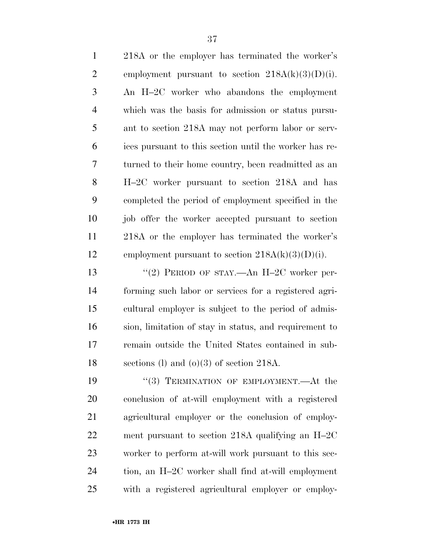| $\mathbf{1}$   | 218A or the employer has terminated the worker's       |
|----------------|--------------------------------------------------------|
| $\overline{2}$ | employment pursuant to section $218A(k)(3)(D)(i)$ .    |
| 3              | An H-2C worker who abandons the employment             |
| $\overline{4}$ | which was the basis for admission or status pursu-     |
| 5              | ant to section 218A may not perform labor or serv-     |
| 6              | ices pursuant to this section until the worker has re- |
| $\overline{7}$ | turned to their home country, been readmitted as an    |
| 8              | H-2C worker pursuant to section 218A and has           |
| 9              | completed the period of employment specified in the    |
| 10             | job offer the worker accepted pursuant to section      |
| 11             | 218A or the employer has terminated the worker's       |
| 12             | employment pursuant to section $218A(k)(3)(D(i))$ .    |
| 13             | "(2) PERIOD OF STAY.—An H-2C worker per-               |
| 14             | forming such labor or services for a registered agri-  |
| 15             | cultural employer is subject to the period of admis-   |
| 16             | sion, limitation of stay in status, and requirement to |
| 17             | remain outside the United States contained in sub-     |
| 18             | sections (l) and (o)(3) of section 218A.               |
| 19             | "(3) TERMINATION OF EMPLOYMENT.—At the                 |
| 20             | conclusion of at-will employment with a registered     |
| 21             | agricultural employer or the conclusion of employ-     |
| 22             | ment pursuant to section 218A qualifying an $H-2C$     |
| 23             | worker to perform at-will work pursuant to this sec-   |
| 24             | tion, an H-2C worker shall find at-will employment     |
| 25             | with a registered agricultural employer or employ-     |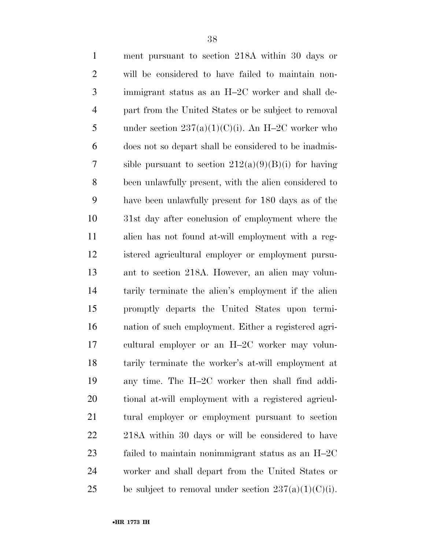| $\mathbf{1}$   | ment pursuant to section 218A within 30 days or         |
|----------------|---------------------------------------------------------|
| $\overline{2}$ | will be considered to have failed to maintain non-      |
| 3              | immigrant status as an H-2C worker and shall de-        |
| $\overline{4}$ | part from the United States or be subject to removal    |
| 5              | under section $237(a)(1)(C)(i)$ . An H-2C worker who    |
| 6              | does not so depart shall be considered to be inadmis-   |
| 7              | sible pursuant to section $212(a)(9)(B)(i)$ for having  |
| 8              | been unlawfully present, with the alien considered to   |
| 9              | have been unlawfully present for 180 days as of the     |
| 10             | 31st day after conclusion of employment where the       |
| 11             | alien has not found at-will employment with a reg-      |
| 12             | istered agricultural employer or employment pursu-      |
| 13             | ant to section 218A. However, an alien may volun-       |
| 14             | tarily terminate the alien's employment if the alien    |
| 15             | promptly departs the United States upon termi-          |
| 16             | nation of such employment. Either a registered agri-    |
| 17             | cultural employer or an H-2C worker may volun-          |
| 18             | tarily terminate the worker's at-will employment at     |
| 19             | any time. The H-2C worker then shall find addi-         |
| 20             | tional at-will employment with a registered agricul-    |
| 21             | tural employer or employment pursuant to section        |
| 22             | 218A within 30 days or will be considered to have       |
| 23             | failed to maintain nonimmigrant status as an H-2C       |
| 24             | worker and shall depart from the United States or       |
| 25             | be subject to removal under section $237(a)(1)(C)(i)$ . |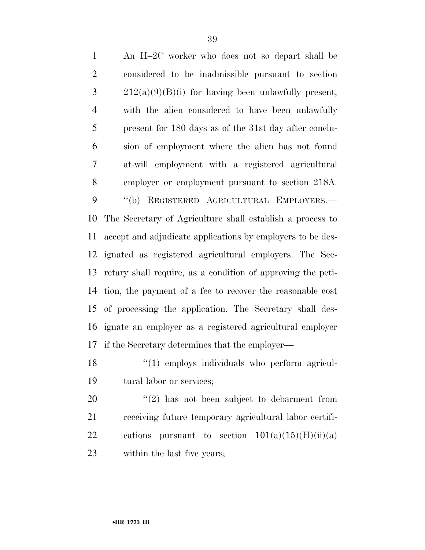An H–2C worker who does not so depart shall be considered to be inadmissible pursuant to section  $3 \t212(a)(9)(B)(i)$  for having been unlawfully present, with the alien considered to have been unlawfully present for 180 days as of the 31st day after conclu- sion of employment where the alien has not found at-will employment with a registered agricultural employer or employment pursuant to section 218A. ''(b) REGISTERED AGRICULTURAL EMPLOYERS.— The Secretary of Agriculture shall establish a process to accept and adjudicate applications by employers to be des- ignated as registered agricultural employers. The Sec- retary shall require, as a condition of approving the peti- tion, the payment of a fee to recover the reasonable cost of processing the application. The Secretary shall des- ignate an employer as a registered agricultural employer if the Secretary determines that the employer—

18 "(1) employs individuals who perform agricul-tural labor or services;

 ''(2) has not been subject to debarment from receiving future temporary agricultural labor certifi-22 cations pursuant to section  $101(a)(15)(H)(ii)(a)$ within the last five years;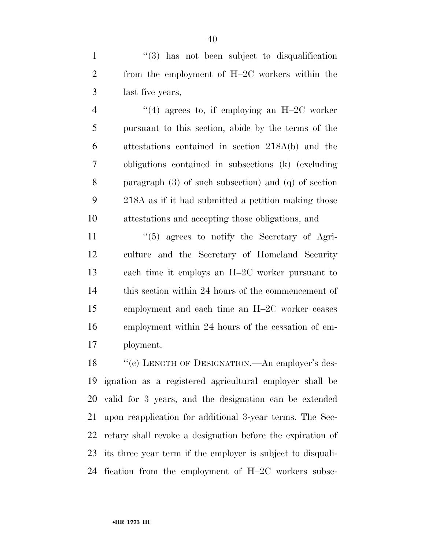1 ''(3) has not been subject to disqualification from the employment of H–2C workers within the last five years,

 $\frac{4}{4}$  agrees to, if employing an H–2C worker pursuant to this section, abide by the terms of the attestations contained in section 218A(b) and the obligations contained in subsections (k) (excluding paragraph (3) of such subsection) and (q) of section 218A as if it had submitted a petition making those attestations and accepting those obligations, and

 ''(5) agrees to notify the Secretary of Agri- culture and the Secretary of Homeland Security each time it employs an H–2C worker pursuant to this section within 24 hours of the commencement of employment and each time an H–2C worker ceases employment within 24 hours of the cessation of em-ployment.

18 "(c) LENGTH OF DESIGNATION.—An employer's des- ignation as a registered agricultural employer shall be valid for 3 years, and the designation can be extended upon reapplication for additional 3-year terms. The Sec- retary shall revoke a designation before the expiration of its three year term if the employer is subject to disquali-fication from the employment of H–2C workers subse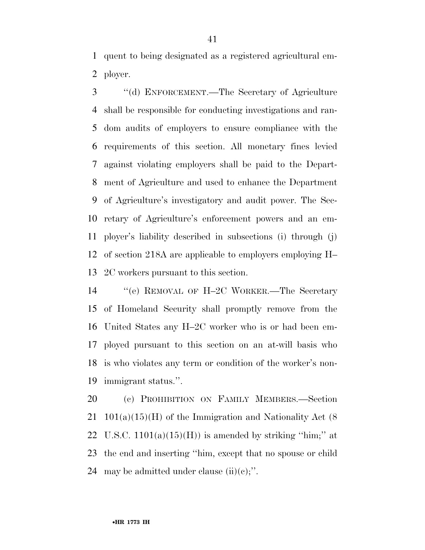quent to being designated as a registered agricultural em-ployer.

 ''(d) ENFORCEMENT.—The Secretary of Agriculture shall be responsible for conducting investigations and ran- dom audits of employers to ensure compliance with the requirements of this section. All monetary fines levied against violating employers shall be paid to the Depart- ment of Agriculture and used to enhance the Department of Agriculture's investigatory and audit power. The Sec- retary of Agriculture's enforcement powers and an em- ployer's liability described in subsections (i) through (j) of section 218A are applicable to employers employing H– 2C workers pursuant to this section.

 ''(e) REMOVAL OF H–2C WORKER.—The Secretary of Homeland Security shall promptly remove from the United States any H–2C worker who is or had been em- ployed pursuant to this section on an at-will basis who is who violates any term or condition of the worker's non-immigrant status.''.

 (c) PROHIBITION ON FAMILY MEMBERS.—Section 21  $101(a)(15)(H)$  of the Immigration and Nationality Act (8) 22 U.S.C.  $1101(a)(15)(H)$  is amended by striking "him;" at the end and inserting ''him, except that no spouse or child 24 may be admitted under clause  $(ii)(c)$ ;".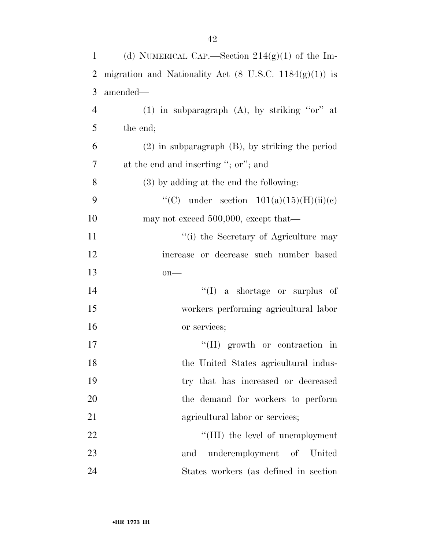| $\mathbf{1}$   | (d) NUMERICAL CAP.—Section $214(g)(1)$ of the Im-                 |
|----------------|-------------------------------------------------------------------|
| 2              | migration and Nationality Act $(8 \text{ U.S.C. } 1184(g)(1))$ is |
| 3              | amended—                                                          |
| $\overline{4}$ | $(1)$ in subparagraph $(A)$ , by striking "or" at                 |
| 5              | the end;                                                          |
| 6              | $(2)$ in subparagraph $(B)$ , by striking the period              |
| $\tau$         | at the end and inserting "; or"; and                              |
| 8              | $(3)$ by adding at the end the following:                         |
| 9              | "(C) under section $101(a)(15)(H)(ii)(e)$                         |
| 10             | may not exceed 500,000, except that—                              |
| 11             | "(i) the Secretary of Agriculture may                             |
| 12             | increase or decrease such number based                            |
| 13             | $on$ —                                                            |
| 14             | $\lq\lq$ (I) a shortage or surplus of                             |
| 15             | workers performing agricultural labor                             |
| 16             | or services;                                                      |
| 17             | $\lq\lq$ (II) growth or contraction in                            |
| 18             | the United States agricultural indus-                             |
| 19             | try that has increased or decreased                               |
| 20             | the demand for workers to perform                                 |
| 21             | agricultural labor or services;                                   |
| 22             | "(III) the level of unemployment                                  |
| 23             | underemployment of United<br>and                                  |
| 24             | States workers (as defined in section)                            |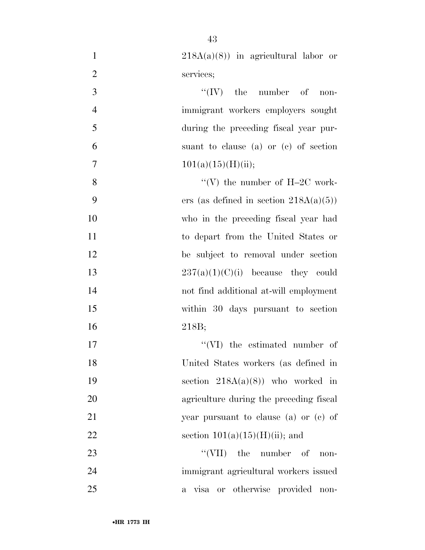| $\mathbf{1}$   | $218A(a)(8)$ in agricultural labor or     |
|----------------|-------------------------------------------|
| $\overline{2}$ | services;                                 |
| 3              | $\lq\lq (IV)$ the number of<br>$non-$     |
| $\overline{4}$ | immigrant workers employers sought        |
| 5              | during the preceding fiscal year pur-     |
| 6              | suant to clause (a) or (c) of section     |
| $\overline{7}$ | 101(a)(15)(H)(ii);                        |
| 8              | "(V) the number of $H-2C$ work-           |
| 9              | ers (as defined in section $218A(a)(5)$ ) |
| 10             | who in the preceding fiscal year had      |
| 11             | to depart from the United States or       |
| 12             | be subject to removal under section       |
| 13             | $237(a)(1)(C)(i)$ because they could      |
| 14             | not find additional at-will employment    |
| 15             | within 30 days pursuant to section        |
| 16             | 218B;                                     |
| 17             | "(VI) the estimated number of             |
| 18             | United States workers (as defined in      |
| 19             | section $218A(a)(8)$ who worked in        |
| 20             | agriculture during the preceding fiscal   |
| 21             | year pursuant to clause (a) or (c) of     |
| 22             | section $101(a)(15)(H)(ii)$ ; and         |
| 23             | $``(VII)$ the number of<br>non-           |
| 24             | immigrant agricultural workers issued     |
| 25             | a visa or otherwise provided non-         |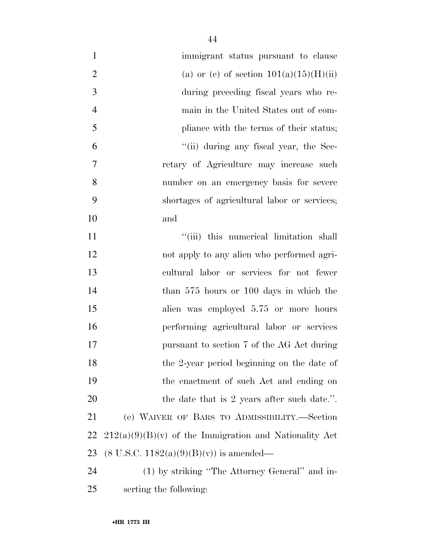| $\mathbf{1}$   | immigrant status pursuant to clause                      |
|----------------|----------------------------------------------------------|
| $\overline{2}$ | (a) or (c) of section $101(a)(15)(H)(ii)$                |
| 3              | during preceding fiscal years who re-                    |
| $\overline{4}$ | main in the United States out of com-                    |
| 5              | pliance with the terms of their status;                  |
| 6              | "(ii) during any fiscal year, the Sec-                   |
| 7              | retary of Agriculture may increase such                  |
| 8              | number on an emergency basis for severe                  |
| 9              | shortages of agricultural labor or services;             |
| 10             | and                                                      |
| 11             | "(iii) this numerical limitation shall                   |
| 12             | not apply to any alien who performed agri-               |
| 13             | cultural labor or services for not fewer                 |
| 14             | than 575 hours or 100 days in which the                  |
| 15             | alien was employed 5.75 or more hours                    |
| 16             | performing agricultural labor or services                |
| 17             | pursuant to section 7 of the AG Act during               |
| 18             | the 2-year period beginning on the date of               |
| 19             | the enactment of such Act and ending on                  |
| 20             | the date that is 2 years after such date.".              |
| 21             | (e) WAIVER OF BARS TO ADMISSIBILITY.-Section             |
| 22             | $212(a)(9)(B)(v)$ of the Immigration and Nationality Act |
| 23             | $(8 \text{ U.S.C. } 1182(a)(9)(B)(v))$ is amended—       |
| 24             | (1) by striking "The Attorney General" and in-           |
| 25             | serting the following:                                   |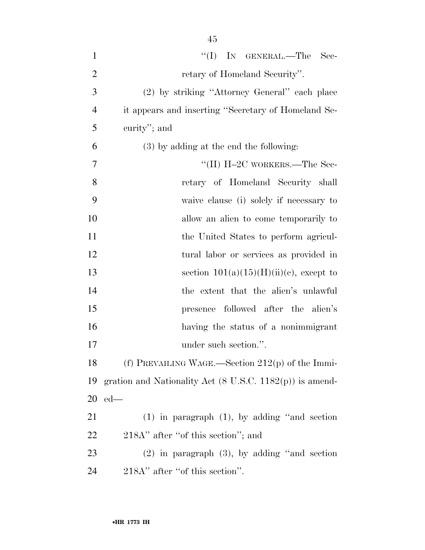| $\mathbf{1}$   | "(I) IN GENERAL.—The Sec-                                           |
|----------------|---------------------------------------------------------------------|
| $\overline{2}$ | retary of Homeland Security".                                       |
| 3              | (2) by striking "Attorney General" each place                       |
| $\overline{4}$ | it appears and inserting "Secretary of Homeland Se-                 |
| 5              | curity"; and                                                        |
| 6              | $(3)$ by adding at the end the following:                           |
| 7              | "(II) $H-2C$ WORKERS.—The Sec-                                      |
| 8              | retary of Homeland Security shall                                   |
| 9              | waive clause (i) solely if necessary to                             |
| 10             | allow an alien to come temporarily to                               |
| 11             | the United States to perform agricul-                               |
| 12             | tural labor or services as provided in                              |
| 13             | section $101(a)(15)(H)(ii)(c)$ , except to                          |
| 14             | the extent that the alien's unlawful                                |
| 15             | presence followed after the alien's                                 |
| 16             | having the status of a nonimmigrant                                 |
| 17             | under such section.".                                               |
| 18             | (f) PREVAILING WAGE.—Section $212(p)$ of the Immi-                  |
| 19             | gration and Nationality Act $(8 \text{ U.S.C. } 1182(p))$ is amend- |
| 20             | $ed$ —                                                              |
| 21             | $(1)$ in paragraph $(1)$ , by adding "and section                   |
| 22             | 218A" after "of this section"; and                                  |
| 23             | $(2)$ in paragraph $(3)$ , by adding "and section"                  |
| 24             | 218A" after "of this section".                                      |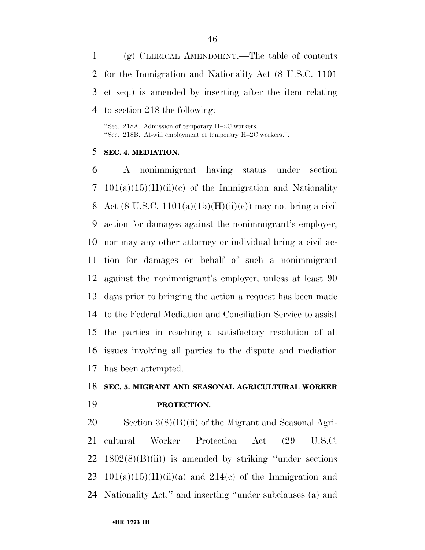(g) CLERICAL AMENDMENT.—The table of contents for the Immigration and Nationality Act (8 U.S.C. 1101 et seq.) is amended by inserting after the item relating to section 218 the following:

''Sec. 218A. Admission of temporary H–2C workers. ''Sec. 218B. At-will employment of temporary H–2C workers.''.

#### **SEC. 4. MEDIATION.**

 A nonimmigrant having status under section 7 101(a)(15)(H)(ii)(c) of the Immigration and Nationality 8 Act (8 U.S.C.  $1101(a)(15)(H)(ii)(e)$ ) may not bring a civil action for damages against the nonimmigrant's employer, nor may any other attorney or individual bring a civil ac- tion for damages on behalf of such a nonimmigrant against the nonimmigrant's employer, unless at least 90 days prior to bringing the action a request has been made to the Federal Mediation and Conciliation Service to assist the parties in reaching a satisfactory resolution of all issues involving all parties to the dispute and mediation has been attempted.

# **SEC. 5. MIGRANT AND SEASONAL AGRICULTURAL WORKER PROTECTION.**

 Section 3(8)(B)(ii) of the Migrant and Seasonal Agri- cultural Worker Protection Act (29 U.S.C.  $22 \quad 1802(8)(B)(ii)$  is amended by striking "under sections" 23 101(a)(15)(H)(ii)(a) and 214(c) of the Immigration and Nationality Act.'' and inserting ''under subclauses (a) and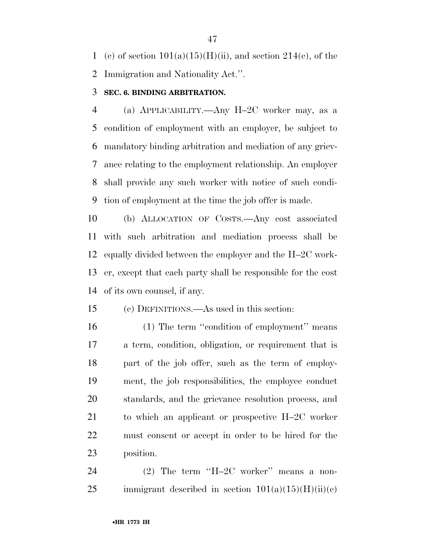1 (c) of section  $101(a)(15)(H)(ii)$ , and section  $214(c)$ , of the Immigration and Nationality Act.''.

### **SEC. 6. BINDING ARBITRATION.**

 (a) APPLICABILITY.—Any H–2C worker may, as a condition of employment with an employer, be subject to mandatory binding arbitration and mediation of any griev- ance relating to the employment relationship. An employer shall provide any such worker with notice of such condi-tion of employment at the time the job offer is made.

 (b) ALLOCATION OF COSTS.—Any cost associated with such arbitration and mediation process shall be equally divided between the employer and the H–2C work- er, except that each party shall be responsible for the cost of its own counsel, if any.

(c) DEFINITIONS.—As used in this section:

16 (1) The term "condition of employment" means a term, condition, obligation, or requirement that is part of the job offer, such as the term of employ- ment, the job responsibilities, the employee conduct standards, and the grievance resolution process, and to which an applicant or prospective H–2C worker must consent or accept in order to be hired for the position.

24 (2) The term "H-2C worker" means a non-25 immigrant described in section  $101(a)(15)(H)(ii)(c)$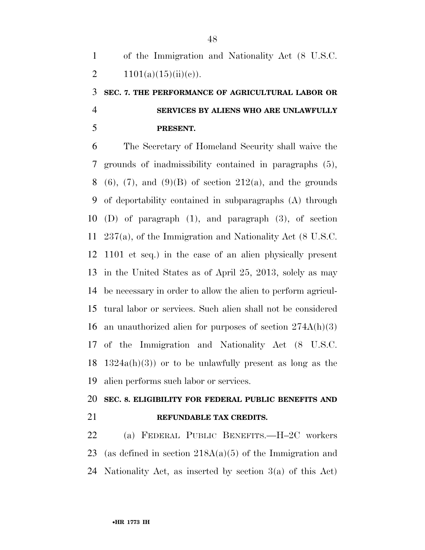of the Immigration and Nationality Act (8 U.S.C. 2  $1101(a)(15)(ii)(e)$ .

# **SEC. 7. THE PERFORMANCE OF AGRICULTURAL LABOR OR SERVICES BY ALIENS WHO ARE UNLAWFULLY PRESENT.**

 The Secretary of Homeland Security shall waive the grounds of inadmissibility contained in paragraphs (5), 8 (6), (7), and (9)(B) of section 212(a), and the grounds of deportability contained in subparagraphs (A) through (D) of paragraph (1), and paragraph (3), of section 237(a), of the Immigration and Nationality Act (8 U.S.C. 1101 et seq.) in the case of an alien physically present in the United States as of April 25, 2013, solely as may be necessary in order to allow the alien to perform agricul- tural labor or services. Such alien shall not be considered an unauthorized alien for purposes of section 274A(h)(3) of the Immigration and Nationality Act (8 U.S.C. 18 1324a(h)(3)) or to be unlawfully present as long as the alien performs such labor or services.

# **SEC. 8. ELIGIBILITY FOR FEDERAL PUBLIC BENEFITS AND REFUNDABLE TAX CREDITS.**

 (a) FEDERAL PUBLIC BENEFITS.—H–2C workers 23 (as defined in section  $218A(a)(5)$  of the Immigration and Nationality Act, as inserted by section 3(a) of this Act)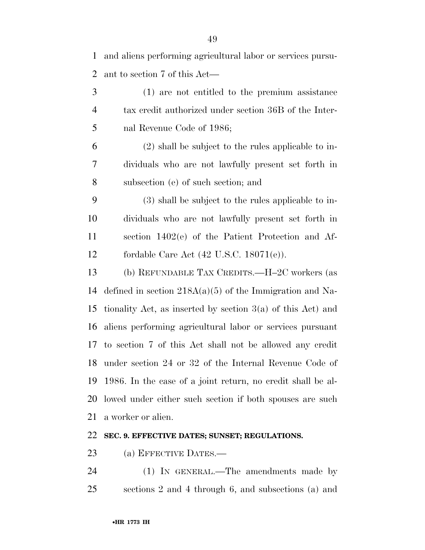and aliens performing agricultural labor or services pursu-ant to section 7 of this Act—

 (1) are not entitled to the premium assistance tax credit authorized under section 36B of the Inter-nal Revenue Code of 1986;

 (2) shall be subject to the rules applicable to in- dividuals who are not lawfully present set forth in subsection (e) of such section; and

 (3) shall be subject to the rules applicable to in- dividuals who are not lawfully present set forth in section 1402(e) of the Patient Protection and Af-fordable Care Act (42 U.S.C. 18071(e)).

 (b) REFUNDABLE TAX CREDITS.—H–2C workers (as defined in section 218A(a)(5) of the Immigration and Na- tionality Act, as inserted by section 3(a) of this Act) and aliens performing agricultural labor or services pursuant to section 7 of this Act shall not be allowed any credit under section 24 or 32 of the Internal Revenue Code of 1986. In the case of a joint return, no credit shall be al- lowed under either such section if both spouses are such a worker or alien.

### **SEC. 9. EFFECTIVE DATES; SUNSET; REGULATIONS.**

(a) EFFECTIVE DATES.—

 (1) IN GENERAL.—The amendments made by sections 2 and 4 through 6, and subsections (a) and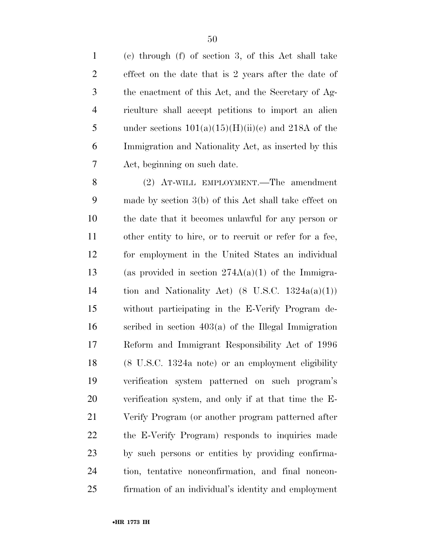(c) through (f) of section 3, of this Act shall take effect on the date that is 2 years after the date of the enactment of this Act, and the Secretary of Ag- riculture shall accept petitions to import an alien 5 under sections  $101(a)(15)(H)(ii)(e)$  and 218A of the Immigration and Nationality Act, as inserted by this Act, beginning on such date.

 (2) AT-WILL EMPLOYMENT.—The amendment made by section 3(b) of this Act shall take effect on the date that it becomes unlawful for any person or other entity to hire, or to recruit or refer for a fee, for employment in the United States an individual 13 (as provided in section  $274A(a)(1)$  of the Immigra-14 tion and Nationality Act)  $(8 \text{ U.S.C. } 1324a(a)(1))$  without participating in the E-Verify Program de- scribed in section 403(a) of the Illegal Immigration Reform and Immigrant Responsibility Act of 1996 (8 U.S.C. 1324a note) or an employment eligibility verification system patterned on such program's verification system, and only if at that time the E- Verify Program (or another program patterned after the E-Verify Program) responds to inquiries made by such persons or entities by providing confirma- tion, tentative nonconfirmation, and final noncon-firmation of an individual's identity and employment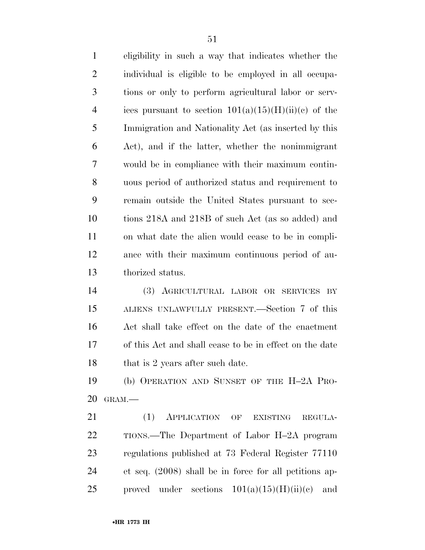eligibility in such a way that indicates whether the individual is eligible to be employed in all occupa- tions or only to perform agricultural labor or serv-4 ices pursuant to section  $101(a)(15)(H)(ii)(c)$  of the Immigration and Nationality Act (as inserted by this Act), and if the latter, whether the nonimmigrant would be in compliance with their maximum contin- uous period of authorized status and requirement to remain outside the United States pursuant to sec- tions 218A and 218B of such Act (as so added) and on what date the alien would cease to be in compli- ance with their maximum continuous period of au-thorized status.

 (3) AGRICULTURAL LABOR OR SERVICES BY ALIENS UNLAWFULLY PRESENT.—Section 7 of this Act shall take effect on the date of the enactment of this Act and shall cease to be in effect on the date 18 that is 2 years after such date.

 (b) OPERATION AND SUNSET OF THE H–2A PRO-GRAM.—

21 (1) APPLICATION OF EXISTING REGULA- TIONS.—The Department of Labor H–2A program regulations published at 73 Federal Register 77110 et seq. (2008) shall be in force for all petitions ap-25 proved under sections  $101(a)(15)(H)(ii)(c)$  and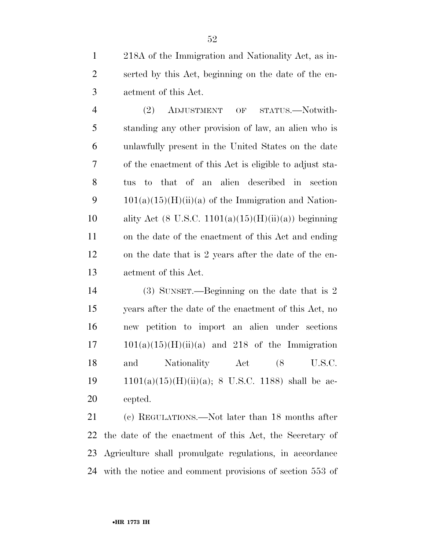218A of the Immigration and Nationality Act, as in- serted by this Act, beginning on the date of the en-actment of this Act.

 (2) ADJUSTMENT OF STATUS.—Notwith- standing any other provision of law, an alien who is unlawfully present in the United States on the date of the enactment of this Act is eligible to adjust sta- tus to that of an alien described in section 9 101(a)(15)(H)(ii)(a) of the Immigration and Nation-10 ality Act (8 U.S.C.  $1101(a)(15)(H)(ii)(a)$ ) beginning on the date of the enactment of this Act and ending on the date that is 2 years after the date of the en-actment of this Act.

 (3) SUNSET.—Beginning on the date that is 2 years after the date of the enactment of this Act, no new petition to import an alien under sections  $17 \t101(a)(15)(H)(ii)(a)$  and  $218$  of the Immigration 18 and Nationality Act (8 U.S.C. 19  $1101(a)(15)(H)(ii)(a); 8 U.S.C. 1188)$  shall be ac-cepted.

 (c) REGULATIONS.—Not later than 18 months after the date of the enactment of this Act, the Secretary of Agriculture shall promulgate regulations, in accordance with the notice and comment provisions of section 553 of